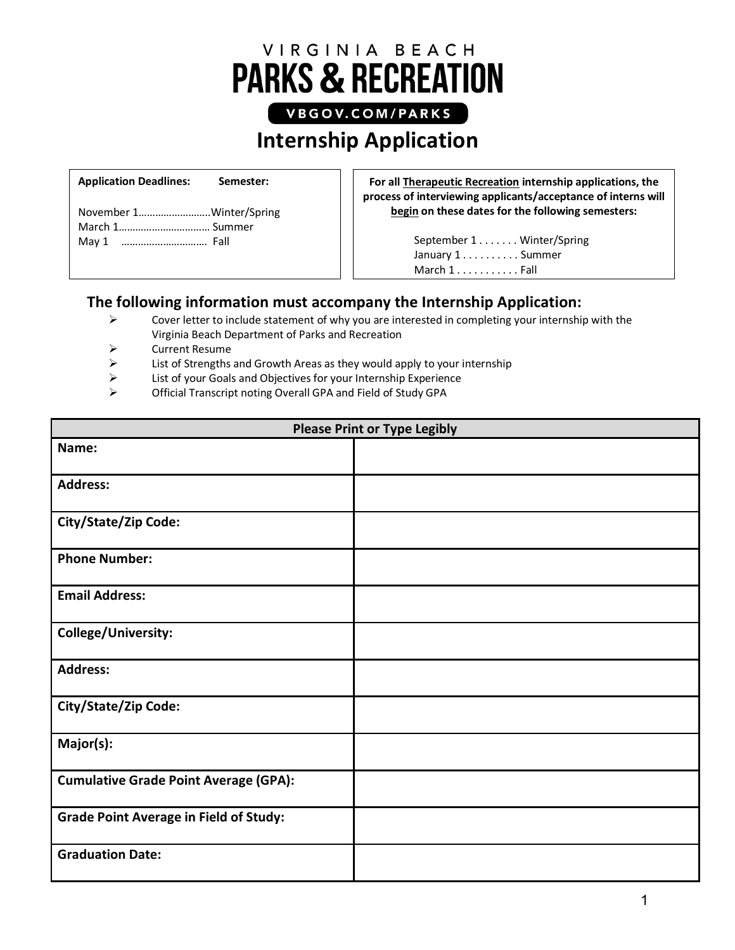

| November 1Winter/Spring |  |
|-------------------------|--|
|                         |  |
| May 1  Fall             |  |
|                         |  |

**Application Deadlines: Semester:**

**For all Therapeutic Recreation internship applications, the process of interviewing applicants/acceptance of interns will begin on these dates for the following semesters:**

> September 1 . . . . . . . Winter/Spring January 1 . . . . . . . . . Summer March 1 . . . . . . . . . . . Fall

## **The following information must accompany the Internship Application:**

- $\triangleright$  Cover letter to include statement of why you are interested in completing your internship with the Virginia Beach Department of Parks and Recreation
- Ø Current Resume
- $\triangleright$  List of Strengths and Growth Areas as they would apply to your internship
- $\triangleright$  List of your Goals and Objectives for your Internship Experience
- Ø Official Transcript noting Overall GPA and Field of Study GPA

| <b>Please Print or Type Legibly</b>           |  |
|-----------------------------------------------|--|
| Name:                                         |  |
| <b>Address:</b>                               |  |
| <b>City/State/Zip Code:</b>                   |  |
| <b>Phone Number:</b>                          |  |
| <b>Email Address:</b>                         |  |
| College/University:                           |  |
| <b>Address:</b>                               |  |
| City/State/Zip Code:                          |  |
| Major(s):                                     |  |
| <b>Cumulative Grade Point Average (GPA):</b>  |  |
| <b>Grade Point Average in Field of Study:</b> |  |
| <b>Graduation Date:</b>                       |  |